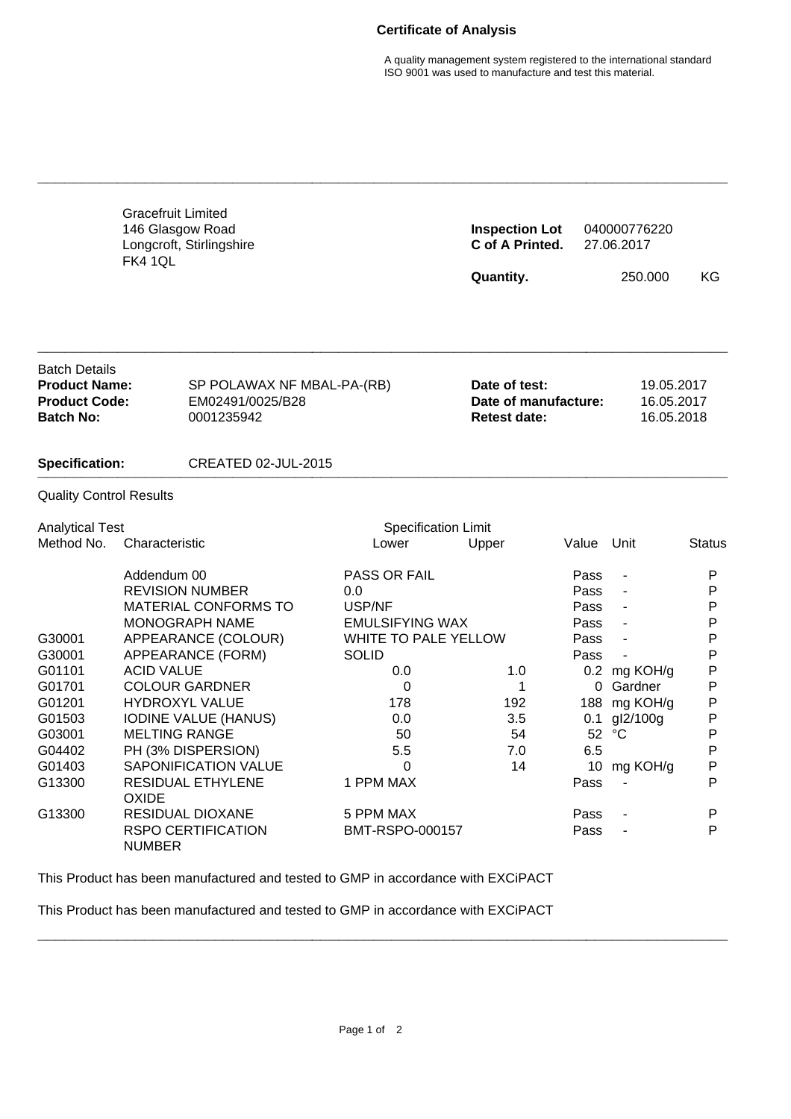## **Certificate of Analysis**

A quality management system registered to the international standard ISO 9001 was used to manufacture and test this material.

|                                                                                                                   | <b>Gracefruit Limited</b><br>146 Glasgow Road<br><b>FK4 1QL</b>          | Longcroft, Stirlingshire                                                                                                                                                                                                                                                |                                                                                                                                                                        | <b>Inspection Lot</b><br>C of A Printed.<br>Quantity.        |                                                                                     | 040000776220<br>27.06.2017<br>250.000                                                                  | KG                                                                                                  |
|-------------------------------------------------------------------------------------------------------------------|--------------------------------------------------------------------------|-------------------------------------------------------------------------------------------------------------------------------------------------------------------------------------------------------------------------------------------------------------------------|------------------------------------------------------------------------------------------------------------------------------------------------------------------------|--------------------------------------------------------------|-------------------------------------------------------------------------------------|--------------------------------------------------------------------------------------------------------|-----------------------------------------------------------------------------------------------------|
| <b>Batch Details</b><br><b>Product Name:</b><br><b>Product Code:</b><br><b>Batch No:</b><br><b>Specification:</b> |                                                                          | SP POLAWAX NF MBAL-PA-(RB)<br>EM02491/0025/B28<br>0001235942                                                                                                                                                                                                            |                                                                                                                                                                        | Date of test:<br>Date of manufacture:<br><b>Retest date:</b> |                                                                                     | 19.05.2017<br>16.05.2017<br>16.05.2018                                                                 |                                                                                                     |
|                                                                                                                   |                                                                          | <b>CREATED 02-JUL-2015</b>                                                                                                                                                                                                                                              |                                                                                                                                                                        |                                                              |                                                                                     |                                                                                                        |                                                                                                     |
| <b>Quality Control Results</b>                                                                                    |                                                                          |                                                                                                                                                                                                                                                                         |                                                                                                                                                                        |                                                              |                                                                                     |                                                                                                        |                                                                                                     |
| <b>Analytical Test</b><br>Method No.                                                                              | Characteristic                                                           |                                                                                                                                                                                                                                                                         | <b>Specification Limit</b><br>Lower                                                                                                                                    | Upper                                                        | Value                                                                               | Unit                                                                                                   | <b>Status</b>                                                                                       |
| G30001<br>G30001<br>G01101<br>G01701<br>G01201<br>G01503<br>G03001<br>G04402<br>G01403<br>G13300                  | Addendum 00<br><b>ACID VALUE</b><br><b>MELTING RANGE</b><br><b>OXIDE</b> | <b>REVISION NUMBER</b><br>MATERIAL CONFORMS TO<br>MONOGRAPH NAME<br>APPEARANCE (COLOUR)<br>APPEARANCE (FORM)<br><b>COLOUR GARDNER</b><br><b>HYDROXYL VALUE</b><br><b>IODINE VALUE (HANUS)</b><br>PH (3% DISPERSION)<br>SAPONIFICATION VALUE<br><b>RESIDUAL ETHYLENE</b> | PASS OR FAIL<br>0.0<br>USP/NF<br><b>EMULSIFYING WAX</b><br><b>WHITE TO PALE YELLOW</b><br><b>SOLID</b><br>0.0<br>0<br>178<br>0.0<br>50<br>5.5<br>$\Omega$<br>1 PPM MAX | 1.0<br>1<br>192<br>3.5<br>54<br>7.0<br>14                    | Pass<br>Pass<br>Pass<br>Pass<br>Pass<br>Pass<br>0<br>0.1<br>52<br>6.5<br>10<br>Pass | ÷,<br>$\blacksquare$<br>0.2 mg KOH/g<br>Gardner<br>188 mg KOH/g<br>gl2/100g<br>$^{\circ}C$<br>mg KOH/g | P<br>P<br>$\mathsf{P}$<br>P<br>P<br>P<br>P<br>P<br>$\mathsf{P}$<br>P<br>P<br>P<br>$\mathsf{P}$<br>P |
| G13300                                                                                                            | NUMBER                                                                   | <b>RESIDUAL DIOXANE</b><br><b>RSPO CERTIFICATION</b>                                                                                                                                                                                                                    | 5 PPM MAX<br>BMT-RSPO-000157                                                                                                                                           |                                                              | Pass<br>Pass                                                                        |                                                                                                        | P<br>P                                                                                              |

**\_\_\_\_\_\_\_\_\_\_\_\_\_\_\_\_\_\_\_\_\_\_\_\_\_\_\_\_\_\_\_\_\_\_\_\_\_\_\_\_\_\_\_\_\_\_\_\_\_\_\_\_\_\_\_\_\_\_\_\_\_\_\_\_\_\_\_\_\_\_\_\_\_\_\_\_\_\_**

This Product has been manufactured and tested to GMP in accordance with EXCiPACT

This Product has been manufactured and tested to GMP in accordance with EXCiPACT

**\_\_\_\_\_\_\_\_\_\_\_\_\_\_\_\_\_\_\_\_\_\_\_\_\_\_\_\_\_\_\_\_\_\_\_\_\_\_\_\_\_\_\_\_\_\_\_\_\_\_\_\_\_\_\_\_\_\_\_\_\_\_\_\_\_\_\_\_\_\_\_\_\_\_\_\_\_\_**